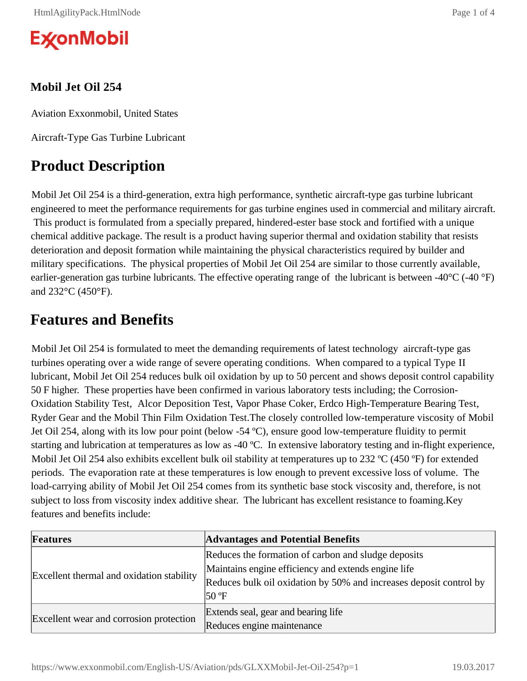

#### **Mobil Jet Oil 254**

Aviation Exxonmobil, United States

Aircraft-Type Gas Turbine Lubricant

#### **Product Description**

Mobil Jet Oil 254 is a third-generation, extra high performance, synthetic aircraft-type gas turbine lubricant engineered to meet the performance requirements for gas turbine engines used in commercial and military aircraft. This product is formulated from a specially prepared, hindered-ester base stock and fortified with a unique chemical additive package. The result is a product having superior thermal and oxidation stability that resists deterioration and deposit formation while maintaining the physical characteristics required by builder and military specifications. The physical properties of Mobil Jet Oil 254 are similar to those currently available, earlier-generation gas turbine lubricants. The effective operating range of the lubricant is between -40°C (-40 °F) and 232°C (450°F).

#### **Features and Benefits**

Mobil Jet Oil 254 is formulated to meet the demanding requirements of latest technology aircraft-type gas turbines operating over a wide range of severe operating conditions. When compared to a typical Type II lubricant, Mobil Jet Oil 254 reduces bulk oil oxidation by up to 50 percent and shows deposit control capability 50 F higher. These properties have been confirmed in various laboratory tests including; the Corrosion-Oxidation Stability Test, Alcor Deposition Test, Vapor Phase Coker, Erdco High-Temperature Bearing Test, Ryder Gear and the Mobil Thin Film Oxidation Test.The closely controlled low-temperature viscosity of Mobil Jet Oil 254, along with its low pour point (below -54 ºC), ensure good low-temperature fluidity to permit starting and lubrication at temperatures as low as -40 ºC. In extensive laboratory testing and in-flight experience, Mobil Jet Oil 254 also exhibits excellent bulk oil stability at temperatures up to 232 °C (450 °F) for extended periods. The evaporation rate at these temperatures is low enough to prevent excessive loss of volume. The load-carrying ability of Mobil Jet Oil 254 comes from its synthetic base stock viscosity and, therefore, is not subject to loss from viscosity index additive shear. The lubricant has excellent resistance to foaming.Key features and benefits include:

| <b>Features</b>                           | <b>Advantages and Potential Benefits</b>                                                                                                                                                           |
|-------------------------------------------|----------------------------------------------------------------------------------------------------------------------------------------------------------------------------------------------------|
| Excellent thermal and oxidation stability | Reduces the formation of carbon and sludge deposits<br>Maintains engine efficiency and extends engine life<br>Reduces bulk oil oxidation by 50% and increases deposit control by<br>$50^{\circ}$ F |
| Excellent wear and corrosion protection   | Extends seal, gear and bearing life<br>Reduces engine maintenance                                                                                                                                  |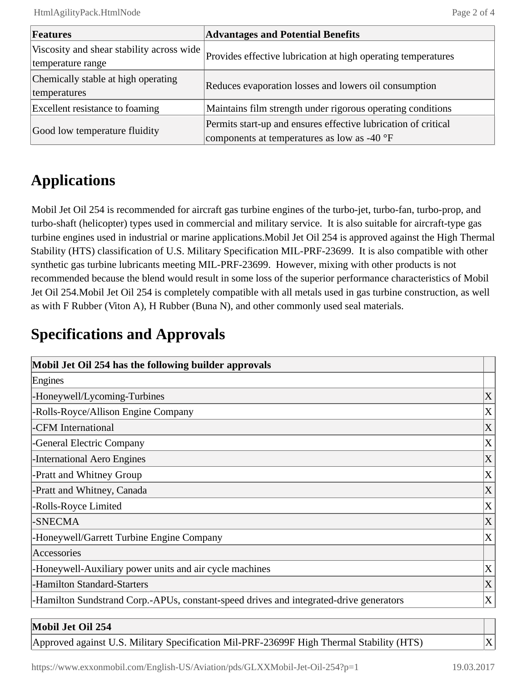| Features                                                       | <b>Advantages and Potential Benefits</b>                                                                              |
|----------------------------------------------------------------|-----------------------------------------------------------------------------------------------------------------------|
| Viscosity and shear stability across wide<br>temperature range | Provides effective lubrication at high operating temperatures                                                         |
| Chemically stable at high operating<br>temperatures            | Reduces evaporation losses and lowers oil consumption                                                                 |
| Excellent resistance to foaming                                | Maintains film strength under rigorous operating conditions                                                           |
| Good low temperature fluidity                                  | Permits start-up and ensures effective lubrication of critical<br>components at temperatures as low as $-40^{\circ}F$ |

### **Applications**

Mobil Jet Oil 254 is recommended for aircraft gas turbine engines of the turbo-jet, turbo-fan, turbo-prop, and turbo-shaft (helicopter) types used in commercial and military service. It is also suitable for aircraft-type gas turbine engines used in industrial or marine applications.Mobil Jet Oil 254 is approved against the High Thermal Stability (HTS) classification of U.S. Military Specification MIL-PRF-23699. It is also compatible with other synthetic gas turbine lubricants meeting MIL-PRF-23699. However, mixing with other products is not recommended because the blend would result in some loss of the superior performance characteristics of Mobil Jet Oil 254.Mobil Jet Oil 254 is completely compatible with all metals used in gas turbine construction, as well as with F Rubber (Viton A), H Rubber (Buna N), and other commonly used seal materials.

## **Specifications and Approvals**

| Mobil Jet Oil 254 has the following builder approvals                                  |                           |
|----------------------------------------------------------------------------------------|---------------------------|
| Engines                                                                                |                           |
| -Honeywell/Lycoming-Turbines                                                           | $\boldsymbol{\mathrm{X}}$ |
| -Rolls-Royce/Allison Engine Company                                                    | $\mathbf X$               |
| -CFM International                                                                     | X                         |
| -General Electric Company                                                              | $\mathbf{X}$              |
| -International Aero Engines                                                            | $\boldsymbol{\mathrm{X}}$ |
| -Pratt and Whitney Group                                                               | $\mathbf X$               |
| -Pratt and Whitney, Canada                                                             | $\mathbf X$               |
| -Rolls-Royce Limited                                                                   | $\mathbf{X}$              |
| -SNECMA                                                                                | $\boldsymbol{\mathrm{X}}$ |
| -Honeywell/Garrett Turbine Engine Company                                              | $\mathbf X$               |
| Accessories                                                                            |                           |
| -Honeywell-Auxiliary power units and air cycle machines                                | $\mathbf X$               |
| -Hamilton Standard-Starters                                                            | $\mathbf X$               |
| -Hamilton Sundstrand Corp.-APUs, constant-speed drives and integrated-drive generators | X                         |

#### **Mobil Jet Oil 254**

Approved against U.S. Military Specification Mil-PRF-23699F High Thermal Stability (HTS)  $|X|$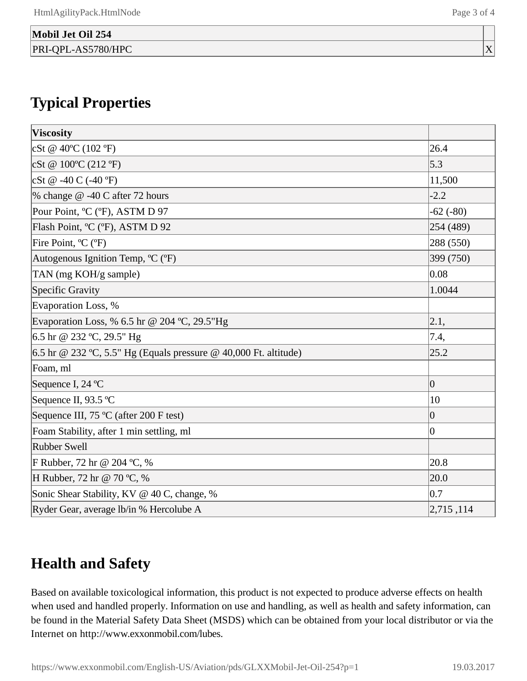| Mobil Jet Oil 254  |           |
|--------------------|-----------|
| PRI-QPL-AS5780/HPC | $\lambda$ |

# **Typical Properties**

| <b>Viscosity</b>                                                 |                |
|------------------------------------------------------------------|----------------|
| $cSt \& 40^{\circ}C (102^{\circ}F)$                              | 26.4           |
| $cSt @ 100^{\circ}C (212^{\circ}F)$                              | 5.3            |
| cSt @ -40 C (-40 °F)                                             | 11,500         |
| % change @ -40 C after 72 hours                                  | $-2.2$         |
| Pour Point, °C (°F), ASTM D 97                                   | $-62(-80)$     |
| Flash Point, °C (°F), ASTM D 92                                  | 254 (489)      |
| Fire Point, °C (°F)                                              | 288 (550)      |
| Autogenous Ignition Temp, °C (°F)                                | 399 (750)      |
| TAN (mg KOH/g sample)                                            | 0.08           |
| Specific Gravity                                                 | 1.0044         |
| Evaporation Loss, %                                              |                |
| Evaporation Loss, % 6.5 hr @ 204 °C, 29.5"Hg                     | 2.1,           |
| 6.5 hr @ 232 °C, 29.5" Hg                                        | 7.4,           |
| 6.5 hr @ 232 °C, 5.5" Hg (Equals pressure @ 40,000 Ft. altitude) | 25.2           |
| Foam, ml                                                         |                |
| Sequence I, 24 °C                                                | 0              |
| Sequence II, 93.5 °C                                             | 10             |
| Sequence III, 75 °C (after 200 F test)                           | 0              |
| Foam Stability, after 1 min settling, ml                         | $\overline{0}$ |
| <b>Rubber Swell</b>                                              |                |
| F Rubber, 72 hr @ 204 °C, %                                      | 20.8           |
| H Rubber, 72 hr @ 70 °C, %                                       | 20.0           |
| Sonic Shear Stability, KV @ 40 C, change, %                      | 0.7            |
| Ryder Gear, average lb/in % Hercolube A                          |                |

## **Health and Safety**

Based on available toxicological information, this product is not expected to produce adverse effects on health when used and handled properly. Information on use and handling, as well as health and safety information, can be found in the Material Safety Data Sheet (MSDS) which can be obtained from your local distributor or via the Internet on http://www.exxonmobil.com/lubes.

https://www.exxonmobil.com/English-US/Aviation/pds/GLXXMobil-Jet-Oil-254?p=1 19.03.2017